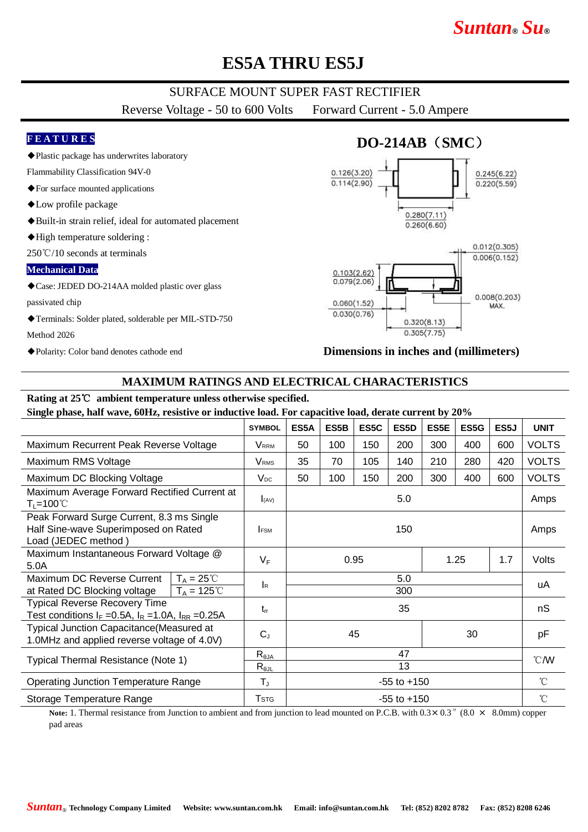# *Suntan***®** *Su***®**

## **ES5A THRU ES5J**

### SURFACE MOUNT SUPER FAST RECTIFIER

Reverse Voltage - 50 to 600 Volts Forward Current - 5.0 Ampere

#### **F E A T U R E S**

- ◆Plastic package has underwrites laboratory
- Flammability Classification 94V-0
- ◆For surface mounted applications
- ◆Low profile package
- ◆Built-in strain relief, ideal for automated placement
- ◆High temperature soldering :

250℃/10 seconds at terminals

#### **Mechanical Data**

◆Case: JEDED DO-214AA molded plastic over glass

passivated chip

◆Terminals: Solder plated, solderable per MIL-STD-750

Method 2026

◆Polarity: Color band denotes cathode end

### **DO-214AB**(**SMC**)



#### **Dimensions in inches and (millimeters)**

 $0.305(7.75)$ 

#### **MAXIMUM RATINGS AND ELECTRICAL CHARACTERISTICS**

#### **Rating at 25**℃ **ambient temperature unless otherwise specified.**

| Single phase, half wave, 60Hz, resistive or inductive load. For capacitive load, derate current by 20%    |                                                                        |                 |      |      |      |      |                  |                 |              |
|-----------------------------------------------------------------------------------------------------------|------------------------------------------------------------------------|-----------------|------|------|------|------|------------------|-----------------|--------------|
|                                                                                                           | <b>SYMBOL</b>                                                          | ES5A            | ES5B | ES5C | ES5D | ES5E | ES5G             | ES5J            | <b>UNIT</b>  |
| Maximum Recurrent Peak Reverse Voltage                                                                    | <b>VRRM</b>                                                            | 50              | 100  | 150  | 200  | 300  | 400              | 600             | <b>VOLTS</b> |
| Maximum RMS Voltage                                                                                       | <b>V</b> <sub>RMS</sub>                                                | 35              | 70   | 105  | 140  | 210  | 280              | 420             | <b>VOLTS</b> |
| Maximum DC Blocking Voltage                                                                               | $V_{DC}$                                                               | 50              | 100  | 150  | 200  | 300  | 400              | 600             | <b>VOLTS</b> |
| Maximum Average Forward Rectified Current at<br>$T_L = 100^{\circ}$                                       | I(AV)                                                                  | 5.0             |      |      |      |      |                  | Amps            |              |
| Peak Forward Surge Current, 8.3 ms Single<br>Half Sine-wave Superimposed on Rated<br>Load (JEDEC method)  | <b>I</b> FSM                                                           | 150             |      |      |      |      |                  | Amps            |              |
| Maximum Instantaneous Forward Voltage @<br>5.0A                                                           | $V_F$                                                                  | 0.95            |      |      |      | 1.25 |                  | 1.7             | Volts        |
| Maximum DC Reverse Current<br>$T_A = 25^{\circ}C$<br>at Rated DC Blocking voltage<br>$T_A = 125^{\circ}C$ | $\mathsf{I}_{\mathsf{R}}$                                              | 5.0<br>300      |      |      |      |      |                  |                 | uA           |
| <b>Typical Reverse Recovery Time</b><br>Test conditions $I_F = 0.5A$ , $I_R = 1.0A$ , $I_{RR} = 0.25A$    | $t_{rr}$                                                               | 35              |      |      |      |      |                  |                 | nS           |
| <b>Typical Junction Capacitance (Measured at</b><br>1.0MHz and applied reverse voltage of 4.0V)           | $C_{J}$                                                                | 45<br>30        |      |      |      |      |                  | pF              |              |
| Typical Thermal Resistance (Note 1)                                                                       | $R_{\theta JA}$<br>$R_{\underline{\theta}\underline{J} \underline{L}}$ | 47<br>13        |      |      |      |      | $\mathcal{C}$ /W |                 |              |
| <b>Operating Junction Temperature Range</b>                                                               | $T_{\rm J}$                                                            | $-55$ to $+150$ |      |      |      |      |                  | $^{\circ}$ C    |              |
| Storage Temperature Range                                                                                 | <b>T</b> <sub>STG</sub>                                                | $-55$ to $+150$ |      |      |      |      |                  | $\rm ^{\circ}C$ |              |

Note: 1. Thermal resistance from Junction to ambient and from junction to lead mounted on P.C.B. with  $0.3 \times 0.3''$  (8.0  $\times$  8.0mm) copper pad areas